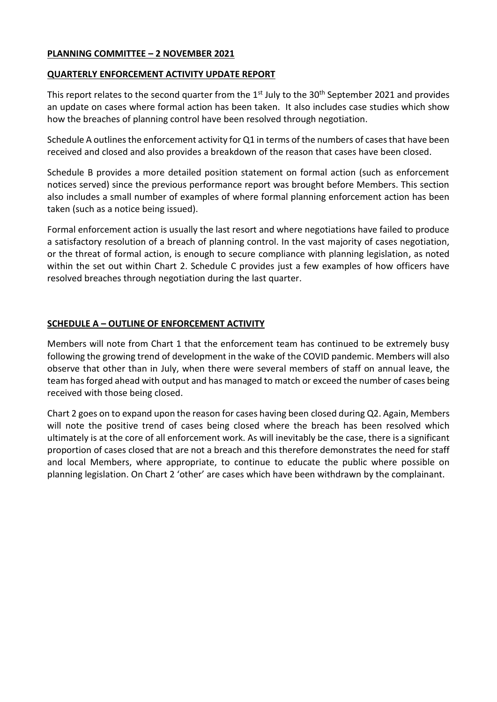## **PLANNING COMMITTEE – 2 NOVEMBER 2021**

#### **QUARTERLY ENFORCEMENT ACTIVITY UPDATE REPORT**

This report relates to the second quarter from the  $1<sup>st</sup>$  July to the 30<sup>th</sup> September 2021 and provides an update on cases where formal action has been taken. It also includes case studies which show how the breaches of planning control have been resolved through negotiation.

Schedule A outlines the enforcement activity for Q1 in terms of the numbers of cases that have been received and closed and also provides a breakdown of the reason that cases have been closed.

Schedule B provides a more detailed position statement on formal action (such as enforcement notices served) since the previous performance report was brought before Members. This section also includes a small number of examples of where formal planning enforcement action has been taken (such as a notice being issued).

Formal enforcement action is usually the last resort and where negotiations have failed to produce a satisfactory resolution of a breach of planning control. In the vast majority of cases negotiation, or the threat of formal action, is enough to secure compliance with planning legislation, as noted within the set out within Chart 2. Schedule C provides just a few examples of how officers have resolved breaches through negotiation during the last quarter.

## **SCHEDULE A – OUTLINE OF ENFORCEMENT ACTIVITY**

Members will note from Chart 1 that the enforcement team has continued to be extremely busy following the growing trend of development in the wake of the COVID pandemic. Members will also observe that other than in July, when there were several members of staff on annual leave, the team has forged ahead with output and has managed to match or exceed the number of cases being received with those being closed.

Chart 2 goes on to expand upon the reason for cases having been closed during Q2. Again, Members will note the positive trend of cases being closed where the breach has been resolved which ultimately is at the core of all enforcement work. As will inevitably be the case, there is a significant proportion of cases closed that are not a breach and this therefore demonstrates the need for staff and local Members, where appropriate, to continue to educate the public where possible on planning legislation. On Chart 2 'other' are cases which have been withdrawn by the complainant.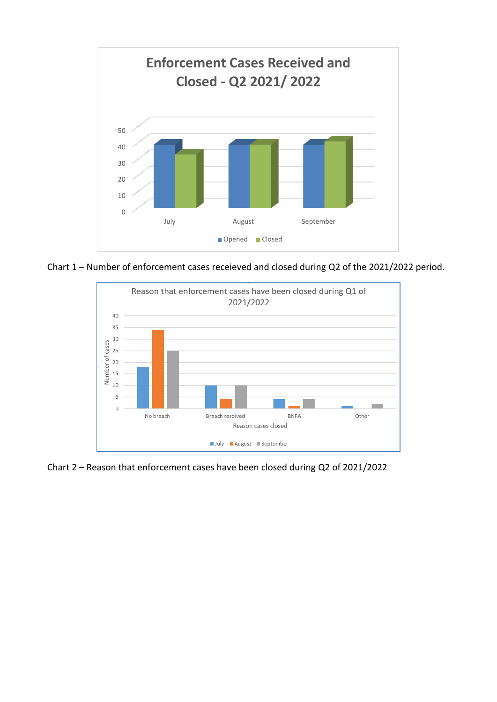

Chart 1 – Number of enforcement cases receieved and closed during Q2 of the 2021/2022 period.



Chart 2 – Reason that enforcement cases have been closed during Q2 of 2021/2022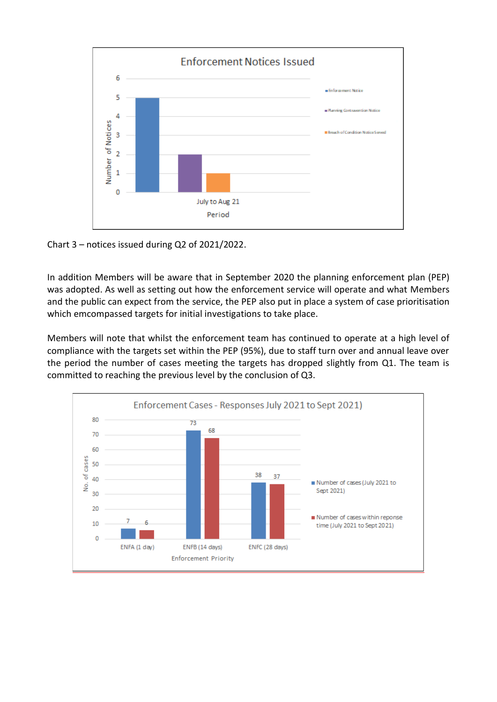

Chart 3 – notices issued during Q2 of 2021/2022.

In addition Members will be aware that in September 2020 the planning enforcement plan (PEP) was adopted. As well as setting out how the enforcement service will operate and what Members and the public can expect from the service, the PEP also put in place a system of case prioritisation which emcompassed targets for initial investigations to take place.

Members will note that whilst the enforcement team has continued to operate at a high level of compliance with the targets set within the PEP (95%), due to staff turn over and annual leave over the period the number of cases meeting the targets has dropped slightly from Q1. The team is committed to reaching the previous level by the conclusion of Q3.

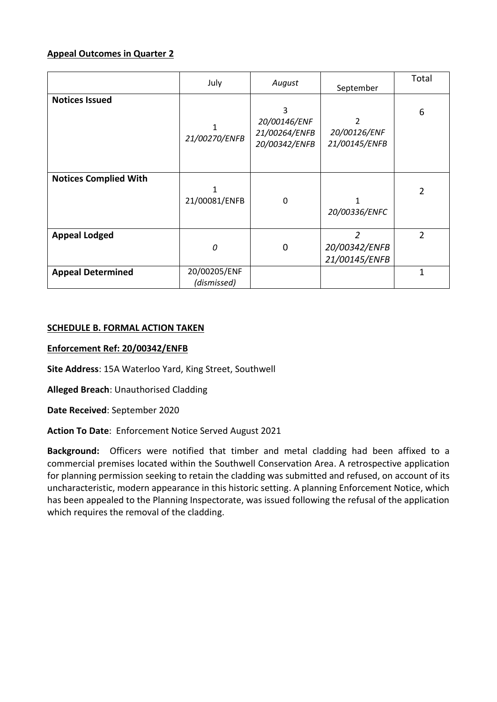# **Appeal Outcomes in Quarter 2**

|                              | July                        | August                                              | September                                        | Total          |
|------------------------------|-----------------------------|-----------------------------------------------------|--------------------------------------------------|----------------|
| <b>Notices Issued</b>        | 21/00270/ENFB               | 3<br>20/00146/ENF<br>21/00264/ENFB<br>20/00342/ENFB | 2<br>20/00126/ENF<br>21/00145/ENFB               | 6              |
| <b>Notices Complied With</b> | 21/00081/ENFB               | 0                                                   | 20/00336/ENFC                                    | $\overline{2}$ |
| <b>Appeal Lodged</b>         | 0                           | 0                                                   | $\overline{2}$<br>20/00342/ENFB<br>21/00145/ENFB | 2              |
| <b>Appeal Determined</b>     | 20/00205/ENF<br>(dismissed) |                                                     |                                                  | 1              |

## **SCHEDULE B. FORMAL ACTION TAKEN**

## **Enforcement Ref: 20/00342/ENFB**

**Site Address**: 15A Waterloo Yard, King Street, Southwell

**Alleged Breach**: Unauthorised Cladding

**Date Received**: September 2020

**Action To Date**: Enforcement Notice Served August 2021

**Background:** Officers were notified that timber and metal cladding had been affixed to a commercial premises located within the Southwell Conservation Area. A retrospective application for planning permission seeking to retain the cladding was submitted and refused, on account of its uncharacteristic, modern appearance in this historic setting. A planning Enforcement Notice, which has been appealed to the Planning Inspectorate, was issued following the refusal of the application which requires the removal of the cladding.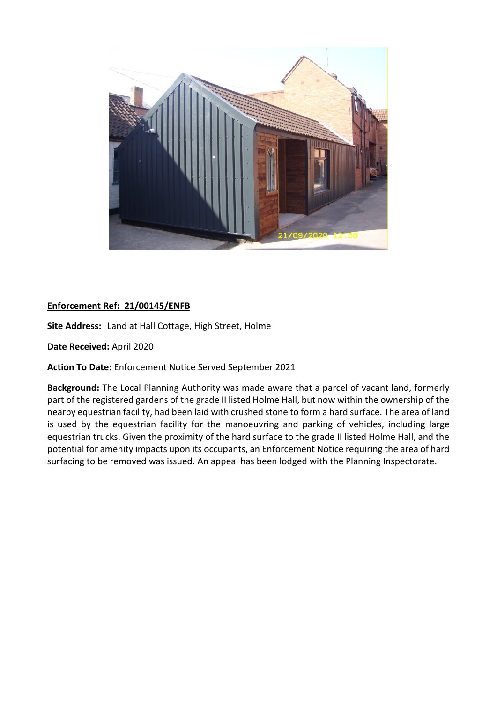

# **Enforcement Ref: 21/00145/ENFB**

**Site Address:** Land at Hall Cottage, High Street, Holme

**Date Received:** April 2020

**Action To Date:** Enforcement Notice Served September 2021

**Background:** The Local Planning Authority was made aware that a parcel of vacant land, formerly part of the registered gardens of the grade II listed Holme Hall, but now within the ownership of the nearby equestrian facility, had been laid with crushed stone to form a hard surface. The area of land is used by the equestrian facility for the manoeuvring and parking of vehicles, including large equestrian trucks. Given the proximity of the hard surface to the grade II listed Holme Hall, and the potential for amenity impacts upon its occupants, an Enforcement Notice requiring the area of hard surfacing to be removed was issued. An appeal has been lodged with the Planning Inspectorate.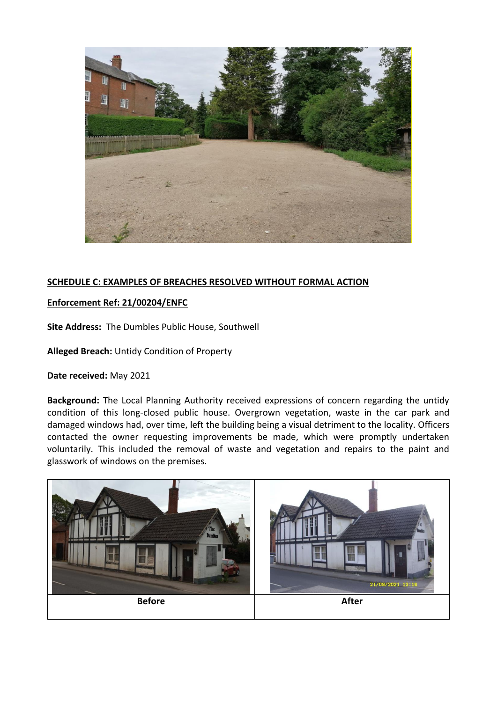

# **SCHEDULE C: EXAMPLES OF BREACHES RESOLVED WITHOUT FORMAL ACTION**

## **Enforcement Ref: 21/00204/ENFC**

**Site Address:** The Dumbles Public House, Southwell

**Alleged Breach:** Untidy Condition of Property

## **Date received:** May 2021

**Background:** The Local Planning Authority received expressions of concern regarding the untidy condition of this long-closed public house. Overgrown vegetation, waste in the car park and damaged windows had, over time, left the building being a visual detriment to the locality. Officers contacted the owner requesting improvements be made, which were promptly undertaken voluntarily. This included the removal of waste and vegetation and repairs to the paint and glasswork of windows on the premises.

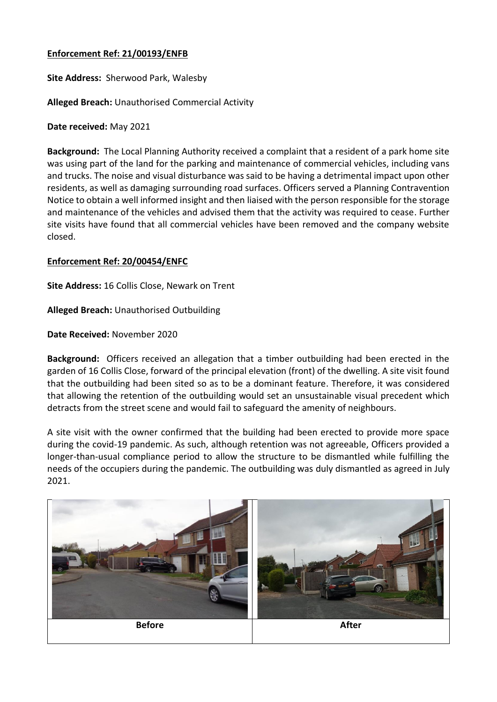## **Enforcement Ref: 21/00193/ENFB**

**Site Address:** Sherwood Park, Walesby

**Alleged Breach:** Unauthorised Commercial Activity

**Date received:** May 2021

**Background:** The Local Planning Authority received a complaint that a resident of a park home site was using part of the land for the parking and maintenance of commercial vehicles, including vans and trucks. The noise and visual disturbance was said to be having a detrimental impact upon other residents, as well as damaging surrounding road surfaces. Officers served a Planning Contravention Notice to obtain a well informed insight and then liaised with the person responsible for the storage and maintenance of the vehicles and advised them that the activity was required to cease. Further site visits have found that all commercial vehicles have been removed and the company website closed.

## **Enforcement Ref: 20/00454/ENFC**

**Site Address:** 16 Collis Close, Newark on Trent

**Alleged Breach:** Unauthorised Outbuilding

**Date Received:** November 2020

**Background:** Officers received an allegation that a timber outbuilding had been erected in the garden of 16 Collis Close, forward of the principal elevation (front) of the dwelling. A site visit found that the outbuilding had been sited so as to be a dominant feature. Therefore, it was considered that allowing the retention of the outbuilding would set an unsustainable visual precedent which detracts from the street scene and would fail to safeguard the amenity of neighbours.

A site visit with the owner confirmed that the building had been erected to provide more space during the covid-19 pandemic. As such, although retention was not agreeable, Officers provided a longer-than-usual compliance period to allow the structure to be dismantled while fulfilling the needs of the occupiers during the pandemic. The outbuilding was duly dismantled as agreed in July 2021.